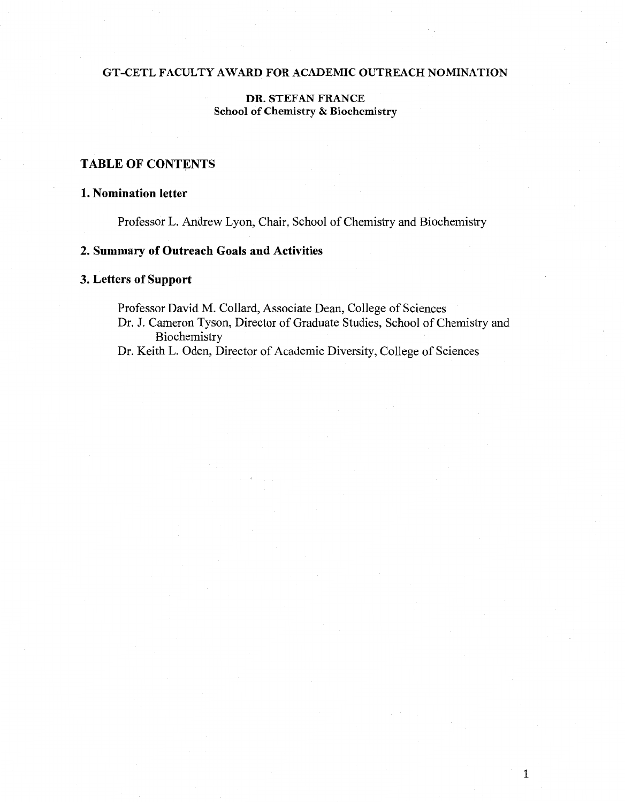### GT -CETL FACULTY AWARD FOR ACADEMIC OUTREACH NOMINATION

## DR. STEFAN FRANCE School of Chemistry & Biochemistry

# TABLE OF CONTENTS

## 1. Nomination letter

Professor L. Andrew Lyon, Chair, School of Chemistry and Biochemistry

## 2. Summary of Outreach Goals and Activities

## 3. Letters of Support

Professor David M. Collard, Associate Dean, College of Sciences Dr. J. Cameron Tyson, Director of Graduate Studies, School of Chemistry and Biochemistry

Dr. Keith L. Oden, Director of Academic Diversity, College of Sciences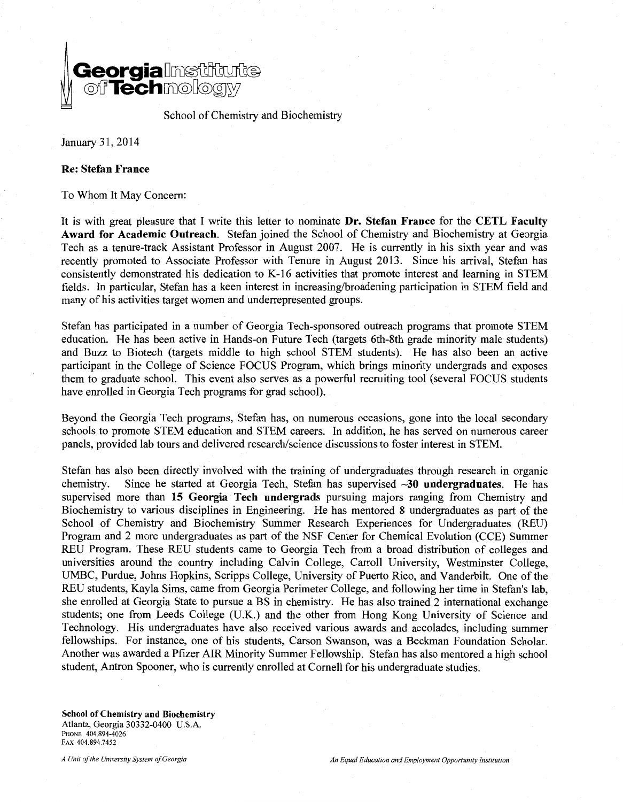

School of Chemistry and Biochemistry

January 31,2014

### **Re: Stefan France**

To Whom It May Concern:

It is with great pleasure that I write this letter to nominate **Dr. Stefan France** for the **CETL Faculty Award for Academic Outreach.** Stefan joined the School of Chemistry and Biochemistry at Georgia Tech as a tenure-track Assistant Professor in August 2007. He is currently in his sixth year and was recently promoted to Associate Professor with Tenure in August 2013. Since his arrival, Stefan has consistently demonstrated his dedication to K-16 activities that promote interest and learning in STEM fields. In particular, Stefan has a keen interest in increasing/broadening participation in STEM field and many of his activities target women and underrepresented groups.

Stefan has participated in a number of Georgia Tech-sponsored outreach programs that promote STEM education. He has been active in Hands-on Future Tech (targets 6th-8th grade minority male students) and Buzz to Biotech (targets middle to high school STEM students). He has also been an active participant in the College of Science FOCUS Program, which brings minority undergrads and exposes them to graduate school. This event also serves as a powerful recruiting tool (several FOCUS students have enrolled in Georgia Tech programs for grad school).

Beyond the Georgia Tech programs, Stefan has, on numerous occasions, gone into the local secondary schools to promote STEM education and STEM careers. In addition, he has served on numerous career panels, provided lab tours and delivered research/science discussions to foster interest in STEM.

Stefan has also been directly involved with the training of undergraduates through research in organic chemistry. Since he started at Georgia Tech, Stefan has supervised ~30 **undergraduates.** He has supervised more than **15 Georgia Tech undergrads** pursuing majors ranging from Chemistry and Biochemistry to various disciplines in Engineering. He has mentored 8 undergraduates as part of the School of Chemistry and Biochemistry Summer Research Experiences for Undergraduates (REU) Program and 2 more undergraduates as part of the NSF Center for Chemical Evolution (CCE) Summer REU Program. These REU students came to Georgia Tech from a broad distribution of colleges and universities around the country including Calvin College, Carroll University, Westminster College, UMBC, Purdue, Johns Hopkins, Scripps College, University of Puerto Rico, and Vanderbilt. One of the REU students, Kayla Sims, came from Georgia Perimeter College, and following her time in Stefan's lab, she enrolled at Georgia State to pursue a BS in chemistry. He has also trained 2 international exchange students; one from Leeds College (U.K.) and the other from Hong Kong University of Science and Technology. His undergraduates have also received various awards and accolades, including summer fellowships. For instance, one of his students, Carson Swanson, was a Beckman Foundation Scholar. Another was awarded a Pfizer AIR Minority Summer Fellowship. Stefan has also mentored a high school student, Antron Spooner, who is currently enrolled at Cornell for his undergraduate studies.

School of Chemistry and Biochemistry Atlanta, Georgia 30332-0400 U.S.A. PHONE 404.894-4026 FAX 404.894.7452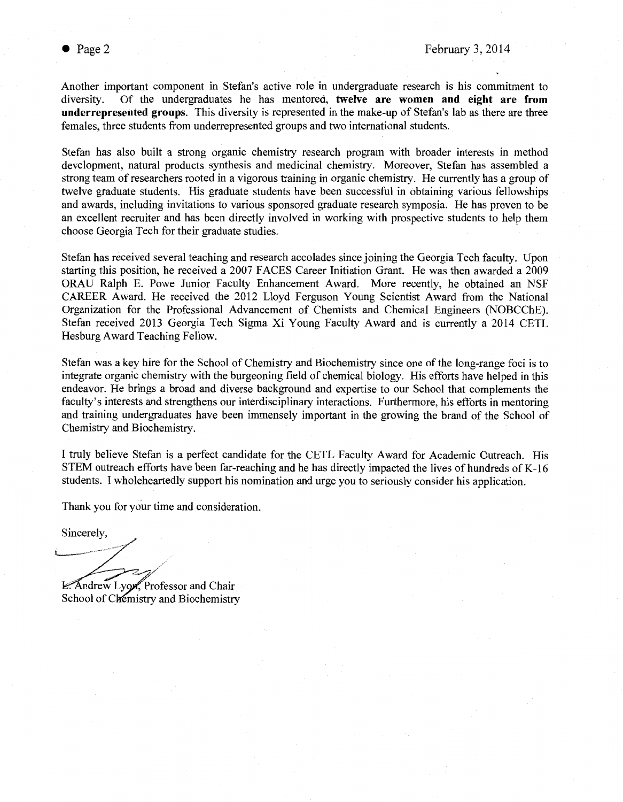Another important component in Stefan's active role in undergraduate research is his commitment to diversity. Of the undergraduates he has mentored, **twelve are women and eight are from underrepresented groups.** This diversity is represented in the make-up of Stefan's lab as there are three females, three students from underrepresented groups and two international students.

Stefan has also built a strong organic chemistry research program with broader interests in method development, natural products synthesis and medicinal chemistry. Moreover, Stefan has assembled a strong team of researchers rooted in a vigorous training in organic chemistry. He currently has a group of twelve graduate students. His graduate students have been successful in obtaining various fellowships and awards, including invitations to various sponsored graduate research symposia. He has proven to be an excellent recruiter and has been directly involved in working with prospective students to help them choose Georgia Tech for their graduate studies.

Stefan has received several teaching and research accolades since joining the Georgia Tech faculty. Upon starting this position, he received a 2007 FACES Career Initiation Grant. He was then awarded a 2009 ORAU Ralph E. Powe Junior Faculty Enhancement Award. More recently, he obtained an NSF CAREER Award. He received the 2012 Lloyd Ferguson Young Scientist Award from the National Organization for the Professional Advancement of Chemists and Chemical Engineers (NOBCChE). Stefan received 2013 Georgia Tech Sigma Xi Young Faculty Award and is currently a 2014 CETL Hesburg Award Teaching Fellow.

Stefan was a key hire for the School of Chemistry and Biochemistry since one of the long-range foci is to integrate organic chemistry with the burgeoning field of chemical biology. His efforts have helped in this endeavor. He brings a broad and diverse background and expertise to our School that complements the faculty's interests and strengthens our interdisciplinary interactions. Furthermore, his efforts in mentoring and training undergraduates have been immensely important in the growing the brand of the School of Chemistry and Biochemistry.

I truly believe Stefan is a perfect candidate for the CETL Faculty Award for Academic Outreach. His STEM outreach efforts have been far-reaching and he has directly impacted the lives of hundreds of K-16 students. I wholeheartedly support his nomination and urge you to seriously consider his application.

Thank you for your time and consideration.

Sincerely.

L--~Sinc~~~~~: ...... · .•

L. Andrew Lyon, Professor and Chair School of Chemistry and Biochemistry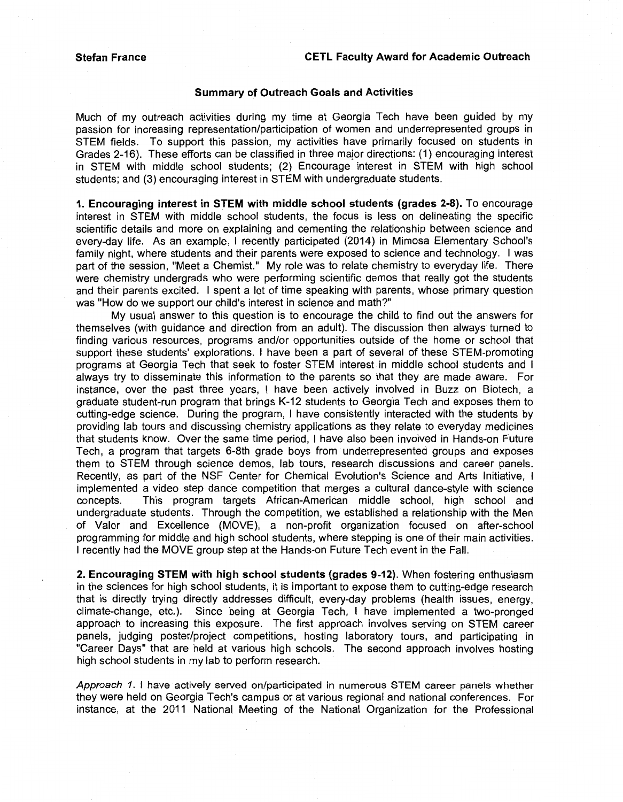#### **Summary of Outreach Goals and Activities**

Much of my outreach activities during my time at Georgia Tech have been guided by my passion for increasing representation/participation of women and underrepresented groups in STEM fields. To support this passion, my activities have primarily focused on students in Grades 2-16). These efforts can be classified in three major directions: (1) encouraging interest in STEM with middle school students; (2) Encourage interest in STEM with high school students; and (3) encouraging interest in STEM with undergraduate students.

**1. Encouraging interest in STEM with middle school students (grades 2-8).** To encourage interest in STEM with middle school students, the focus is less on delineating the specific scientific details and more on explaining and cementing the relationship between science and every-day life. As an example, I recently participated (2014) in Mimosa Elementary School's family night, where students and their parents were exposed to science and technology. I was part of the session, "Meet a Chemist." My role was to relate chemistry to everyday life. There were chemistry undergrads who were performing scientific demos that really got the students and their parents excited. I spent a lot of time speaking with parents, whose primary question was "How do we support our child's interest in science and math?"

My usual answer to this question is to encourage the child to find out the answers for themselves (with guidance and direction from an adult). The discussion then always turned to finding various resources, programs and/or opportunities outside of the home or school that support these students' explorations. I have been a part of several of these STEM-promoting programs at Georgia Tech that seek to foster STEM interest in middle school students and I always try to disseminate this information to the parents so that they are made aware. For instance, over the past three years, I have been actively involved in Buzz on Biotech, a graduate student-run program that brings K-12 students to Georgia Tech and exposes them to cutting-edge science. During the program, I have consistently interacted with the students by providing lab tours and discussing chemistry applications as they relate to everyday medicines that students know. Over the same time period, I have also been involved in Hands-on Future Tech, a program that targets 6-8th grade boys from underrepresented groups and exposes them to STEM through science demos, lab tours, research discussions and career panels. Recently, as part of the NSF Center for Chemical Evolution's Science and Arts Initiative, I implemented a video step dance competition that merges a cultural dance-style with science concepts. This program targets African-American middle school, high school and undergraduate students. Through the competition, we established a relationship with the Men of Valor and Excellence (MOVE), a non-profit organization focused on after-school programming for middle and high school students, where stepping is one of their main activities. I recently had the MOVE group step at the Hands-on Future Tech event in the Fall.

**2. Encouraging STEM with high school students (grades 9-12).** When fostering enthusiasm in the sciences for high school students, it is important to expose them to cutting-edge research that is directly trying directly addresses difficult, every-day problems (health issues, energy, climate-change, etc.). Since being at Georgia Tech, I have implemented a two-pronged approach to increasing this exposure. The first approach involves serving on STEM career panels, judging poster/project competitions, hosting laboratory tours, and participating in "Career Days" that are held at various high schools. The second approach involves hosting high school students in my lab to perform research.

Approach 1. I have actively served on/participated in numerous STEM career panels whether they were held on Georgia Tech's campus or at various regional and national conferences. For instance, at the 2011 National Meeting of the National Organization for the Professional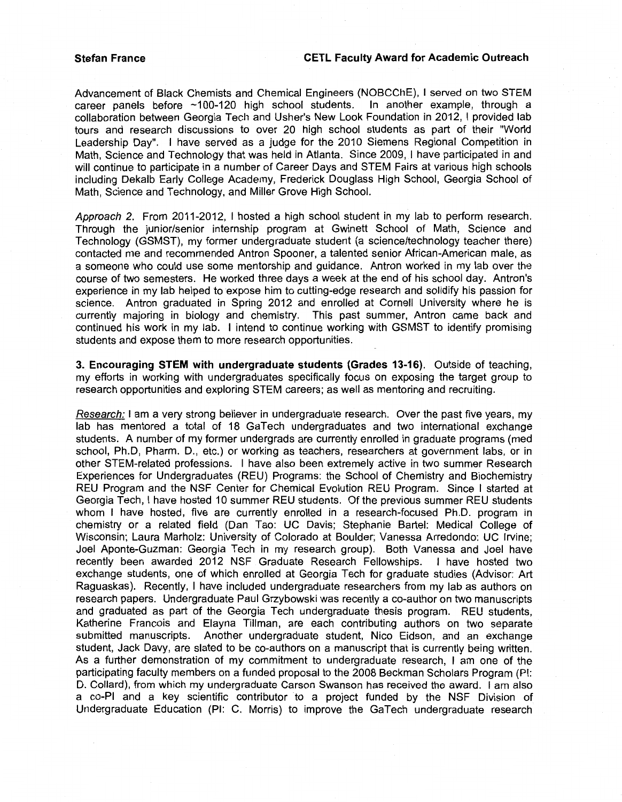Advancement of Black Chemists and Chemical Engineers (NOBCChE), I served on two STEM career panels before ~100-120 high school students. In another example, through a collaboration between Georgia Tech and Usher's New Look Foundation in 2012, I provided lab tours and research discussions to over 20 high school students as part of their "World Leadership Day". I have served as a judge for the 2010 Siemens Regional Competition in Math, Science and Technology that was held in Atlanta. Since 2009, I have participated in and will continue to participate in a number of Career Days and STEM Fairs at various high schools including Dekalb Early College Academy, Frederick Douglass High School, Georgia School of Math, Science and Technology, and Miller Grove High School.

Approach 2. From 2011-2012, I hosted a high school student in my lab to perform research. Through the junior/senior internship program at Gwinett School of Math, Science and Technology (GSMST), my former undergraduate student (a science/technology teacher there) contacted me and recommended Antron Spooner, a talented senior African-American male, as a someone who could use some mentorship and guidance. Antron worked in my lab over the course of two semesters. He worked three days a week at the end of his school day. Antron's experience in my lab helped to expose him to cutting-edge research and solidify his passion for science. Antron graduated in Spring 2012 and enrolled at Cornell University where he is currently majoring in biology and chemistry. This past summer, Antron came back and continued his work in my lab. I intend to continue working with GSMST to identify promising students and expose them to more research opportunities.

**3. Encouraging STEM with undergraduate students (Grades 13-16).** Outside of teaching, my efforts in working with undergraduates specifically focus on exposing the target group to research opportunities and exploring STEM careers; as well as mentoring and recruiting.

Research: I am a very strong believer in undergraduate research. Over the past five years, my lab has mentored a total of 18 GaTech undergraduates and two international exchange students. A number of my former undergrads are currently enrolled in graduate programs (med school, Ph.D, Pharm. D., etc.) or working as teachers, researchers at government labs, or in other STEM-related professions. I have also been extremely active in two summer Research Experiences for Undergraduates (REU) Programs: the School of Chemistry and Biochemistry REU Program and the NSF Center for Chemical Evolution REU Program. Since I started at Georgia Tech, I have hosted 10 summer REU students. Of the previous summer REU students whom I have hosted, five are currently enrolled in a research-focused Ph.D. program in chemistry or a related field (Dan Tao: UC Davis; Stephanie Bartel: Medical College of Wisconsin; Laura Marholz: University of Colorado at Boulder; Vanessa Arredondo: UC Irvine; Joel Aponte-Guzman: Georgia Tech in my research group). Both Vanessa and Joel have recently been awarded 2012 NSF Graduate Research Fellowships. I have hosted two exchange students, one of which enrolled at Georgia Tech for graduate studies (Advisor: Art Raguaskas). Recently, I have included undergraduate researchers from my lab as authors on research papers. Undergraduate Paul Grzybowski was recently a co-author on two manuscripts and graduated as part of the Georgia Tech undergraduate thesis program. REU students, Katherine Francois and Elayna Tillman, are each contributing authors on two separate submitted manuscripts. Another undergraduate student, Nico Eidson, and an exchange student, Jack Davy, are slated to be co-authors on a manuscript that is currently being written. As a further demonstration of my commitment to undergraduate research, I am one of the participating faculty members on a funded proposal to the 2008 Beckman Scholars Program (PI: D. Collard), from which my undergraduate Carson Swanson has received the award. I am also a co-PI and a key scientific contributor to a project funded by the NSF Division of Undergraduate Education (PI: C. Morris) to improve the GaTech undergraduate research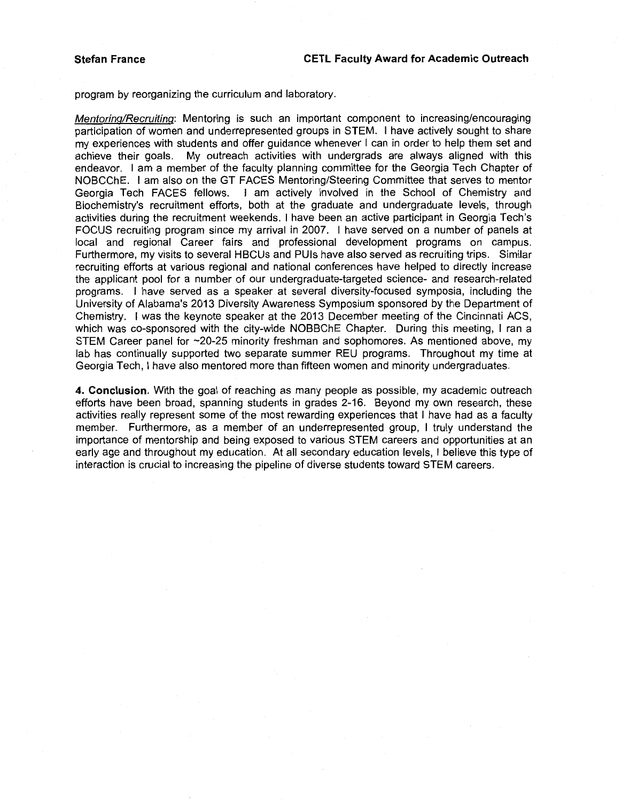program by reorganizing the curriculum and laboratory.

Mentoring/Recruiting: Mentoring is such an important component to increasing/encouraging participation of women and underrepresented groups in STEM. I have actively sought to share my experiences with students and offer guidance whenever I can in order to help them set and achieve their goals. My outreach activities with undergrads are always aligned with this My outreach activities with undergrads are always aligned with this endeavor. I am a member of the faculty planning committee for the Georgia Tech Chapter of NOBCChE. I am also on the GT FACES Mentoring/Steering Committee that serves to mentor Georgia Tech FACES fellows. I am actively involved in the School of Chemistry and Biochemistry's recruitment efforts, both at the graduate and undergraduate levels, through activities during the recruitment weekends. I have been an active participant in Georgia Tech's FOCUS recruiting program since my arrival in 2007. I have served on a number of panels at local and regional Career fairs and professional development programs on campus. Furthermore, my visits to several HBCUs and PUis have also served as recruiting trips. Similar recruiting efforts at various regional and national conferences have helped to directly increase the applicant pool for a number of our undergraduate-targeted science- and research-related programs. I have served as a speaker at several diversity-focused symposia, including the University of Alabama's 2013 Diversity Awareness Symposium sponsored by the Department of Chemistry. I was the keynote speaker at the 2013 December meeting of the Cincinnati ACS, which was co-sponsored with the city-wide NOBBChE Chapter. During this meeting, I ran a STEM Career panel for ~20-25 minority freshman and sophomores. As mentioned above, my lab has continually supported two separate summer REU programs. Throughout my time at Georgia Tech, I have also mentored more than fifteen women and minority undergraduates.

**4. Conclusion.** With the goal of reaching as many people as possible, my academic outreach efforts have been broad, spanning students in grades 2-16. Beyond my own research, these activities really represent some of the most rewarding experiences that I have had as a faculty member. Furthermore, as a member of an underrepresented group, I truly understand the importance of mentorship and being exposed to various STEM careers and opportunities at an early age and throughout my education. At all secondary education levels, I believe this type of interaction is crucial to increasing the pipeline of diverse students toward STEM careers.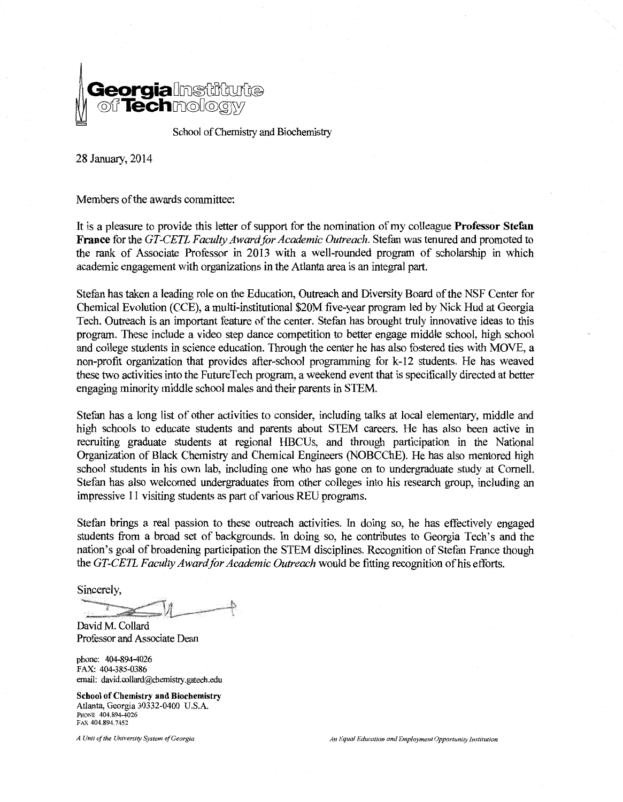

28 January, 2014

Members of the awards committee:

It is a pleasure to provide this letter of support for the nomination of my colleague Professor Stefan France for the *GT-CETL F acuity Award for Academic Outreach.* Stefan was tenured and promoted to the rank of Associate Professor in 2013 with a well-rounded program of scholarship in which academic engagement with organizations in the Atlanta area is an integral part.

Stefan has taken a leading role on the Education, Outreach and Diversity Board of the NSF Center for Chemical Evolution (CCE), a multi-institutional \$20M five-year program led by Nick Hud at Georgia Tech. Outreach is an important feature of the center. Stefan has brought truly innovative ideas to this program. These include a video step dance competition to better engage middle school, high school and college students in science education. Through the center he has also fostered ties with MOVE, a non-profit organization that provides after-school programming for k-12 students. He has weaved these two activities into the Future Tech program, a weekend event that is specifically directed at better engaging minority middle school males and their parents in STEM.

Stefan has a long list of other activities to consider, including talks at local elementary, middle and high schools to educate students and parents about STEM careers. He has also been active in recruiting graduate students at regional HBCUs, and through participation in the National Organization of Black Chemistry and Chemical Engineers (NOBCChE). He has also mentored high school students in his own lab, including one who has gone on to undergraduate study at Cornell. Stefan has also welcomed undergraduates from other colleges into his research group, including an impressive 11 visiting students as part of various REU programs.

Stefan brings a real passion to these outreach activities. In doing so, he has effectively engaged students from a broad set of backgrounds. In doing so, he contributes to Georgia Tech's and the nation's goal of broadening participation the STEM disciplines. Recognition of Stefan France though the *GT-CETL Faculty Award for Academic Outreach* would be fitting recognition of his efforts.

Sincerely,

David M. Collard Professor and Associate Dean

phone: 404-894-4026 FAX: 404-385-0386 email: david.collard@chemistry.gatech.edu

School of Chemistry and Biochemistry Atlanta, Georgia 30332-0400 U.S.A. PHONE 404.894-4026 FAX 404.894.7452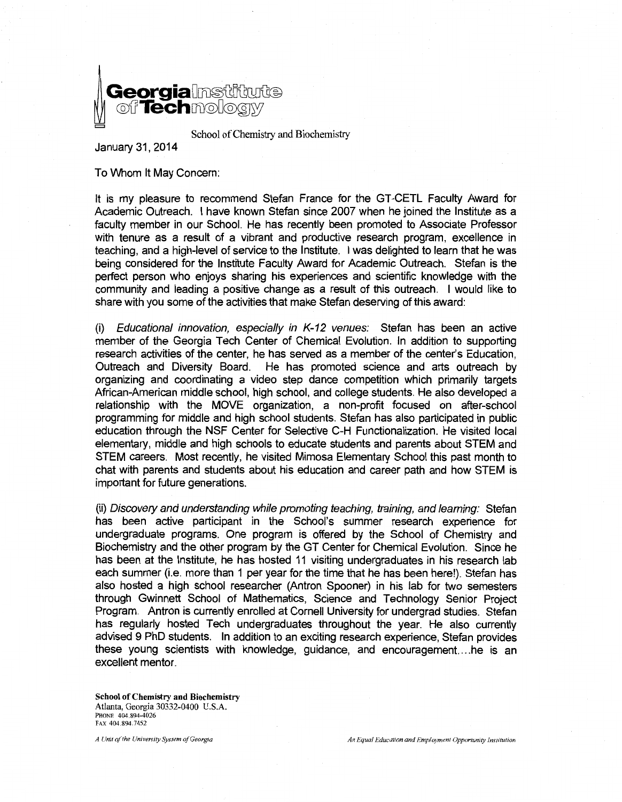

School of Chemistry and Biochemistry

January 31, 2014

To Whom It May Concern:

It is my pleasure to recommend Stefan France for the GT-CETL Faculty Award for Academic Outreach. I have known Stefan since 2007 when he joined the Institute as a faculty member in our School. He has recently been promoted to Associate Professor with tenure as a result of a vibrant and productive research program, excellence in teaching, and a high-level of service to the Institute. I was delighted to learn that he was being considered for the Institute Faculty Award for Academic Outreach. Stefan is the perfect person who enjoys sharing his experiences and scientific knowledge with the community and leading a positive change as a result of this outreach. I would like to share with you some of the activities that make Stefan deserving of this award:

(i) Educational innovation, especially in K-12 venues: Stefan has been an active member of the Georgia Tech Center of Chemical Evolution. In addition to supporting research activities of the center, he has served as a member of the center's Education, Outreach and Diversity Board. He has promoted science and arts outreach by organizing and coordinating a video step dance competition which primarily targets African-American middle school, high school, and college students. He also developed a relationship with the MOVE organization, a non-profit focused on after-school programming for middle and high school students. Stefan has also participated in public education through the NSF Center for Selective C-H Functionalization. He visited local elementary, middle and high schools to educate students and parents about STEM and STEM careers. Most recently, he visited Mimosa Elementary School this past month to chat with parents and students about his education and career path and how STEM is important for future generations.

(ii) Discovery and understanding while promoting teaching, training, and learning: Stefan has been active participant in the School's summer research experience for undergraduate programs. One program is offered by the School of Chemistry and Biochemistry and the other program by the GT Center for Chemical Evolution. Since he has been at the Institute, he has hosted 11 visiting undergraduates in his research lab each summer (i.e. more than 1 per year for the time that he has been here!). Stefan has also hosted a high school researcher (Antron Spooner) in his lab for two semesters through Gwinnett School of Mathematics, Science and Technology Senior Project Program. Antron is currently enrolled at Cornell University for undergrad studies. Stefan has regularly hosted Tech undergraduates throughout the year. He also currently advised 9 PhD students. In addition to an exciting research experience, Stefan provides these young scientists with knowledge, guidance, and encouragement. ... he is an excellent mentor.

School of Chemistry and Biochemistry Atlanta, Georgia 30332-0400 U.S.A. PHONE 404.894-4026 FAX 404.894.7452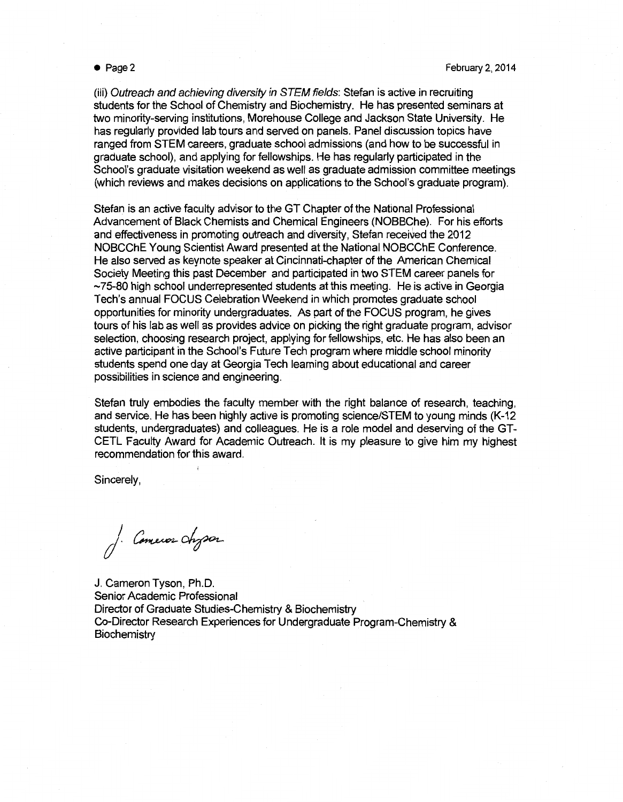(iii) Outreach and achieving diversity in STEM fields: Stefan is active in recruiting students for the School of Chemistry and Biochemistry. He has presented seminars at two minority-serving institutions, Morehouse College and Jackson State University. He has regularly provided lab tours and served on panels. Panel discussion topics have ranged from STEM careers, graduate school admissions (and how to be successful in graduate school), and applying for fellowships. He has regularly participated in the School's graduate visitation weekend as well as graduate admission committee meetings (which reviews and makes decisions on applications to the School's graduate program).

Stefan is an active faculty advisor to the GT Chapter of the National Professional Advancement of Black Chemists and Chemical Engineers (NOBBChe). For his efforts and effectiveness in promoting outreach and diversity, Stefan received the 2012 NOBCChE Young Scientist Award presented at the National NOBCChE Conference. He also served as keynote speaker at Cincinnati-chapter of the American Chemical Society Meeting this past December and participated in two STEM career panels for  $\sim$ 75-80 high school underrepresented students at this meeting. He is active in Georgia Tech's annual FOCUS Celebration Weekend in which promotes graduate school opportunities for minority undergraduates. As part of the FOCUS program, he gives tours of his lab as well as provides advice on picking the right graduate program, advisor selection, choosing research project, applying for fellowships, etc. He has also been an active participant in the School's Future Tech program where middle school minority students spend one day at Georgia Tech learning about educational and career possibilities in science and engineering.

Stefan truly embodies the faculty member with the right balance of research, teaching, and service. He has been highly active is promoting science/STEM to young minds (K-12 students, undergraduates) and colleagues. He is a role model and deserving of the GT-CETL Faculty Award for Academic Outreach. It is my pleasure to give him my highest recommendation for this award.

Sincerely,

J. Comeros chyson

J. Cameron Tyson, Ph.D. Senior Academic Professional Director of Graduate Studies-Chemistry & Biochemistry Co-Director Research Experiences for Undergraduate Program-Chemistry & **Biochemistry**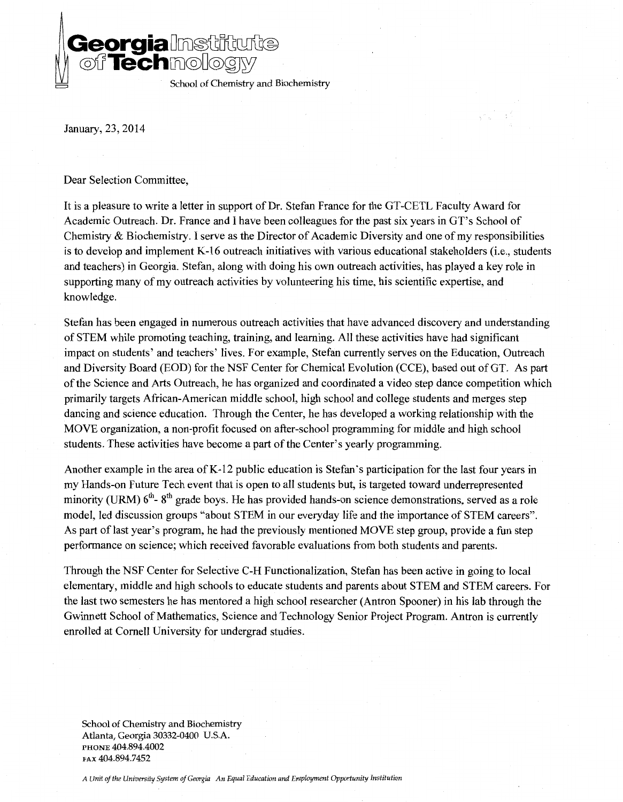**Georgia**Misanade **©'LfTechcru©D©@W** School of Chemistry and Biochemistry

January, 23, 2014

Dear Selection Committee,

It is a pleasure to write a letter in support of Dr. Stefan France for the GT-CETL Faculty Award for Academic Outreach. Dr. France and I have been colleagues for the past six years in GT's School of Chemistry & Biochemistry. I serve as the Director of Academic Diversity and one of my responsibilities is to develop and implement K-16 outreach initiatives with various educational stakeholders (i.e., students and teachers) in Georgia. Stefan, along with doing his own outreach activities, has played a key role in supporting many of my outreach activities by volunteering his time, his scientific expertise, and knowledge.

Stefan has been engaged in numerous outreach activities that have advanced discovery and understanding of STEM while promoting teaching, training, and learning. All these activities have had significant impact on students' and teachers' lives. For example, Stefan currently serves on the Education, Outreach and Diversity Board (EOD) for the NSF Center for Chemical Evolution (CCE), based out of GT. As part of the Science and Arts Outreach, he has organized and coordinated a video step dance competition which primarily targets African-American middle school, high school and college students and merges step dancing and science education. Through the Center, he has developed a working relationship with the MOVE organization, a non-profit focused on after-school programming for middle and high school students. These activities have become a part of the Center's yearly programming.

Another example in the area of K-12 public education is Stefan's participation for the last four years in my Hands-on Future Tech event that is open to all students but, is targeted toward underrepresented minority (URM)  $6<sup>th</sup>$ -  $8<sup>th</sup>$  grade boys. He has provided hands-on science demonstrations, served as a role model, led discussion groups "about STEM in our everyday life and the importance of STEM careers". As part of last year's program, he had the previously mentioned MOVE step group, provide a fun step performance on science; which received favorable evaluations from both students and parents.

Through the NSF Center for Selective C-H Functionalization, Stefan has been active in going to local elementary, middle and high schools to educate students and parents about STEM and STEM careers. For the last two semesters he has mentored a high school researcher (Antron Spooner) in his lab through the Gwinnett School of Mathematics, Science and Technology Senior Project Program. Antron is currently enrolled at Cornell University for undergrad studies.

School of Chemistry and Biochemistry Atlanta, Georgia 30332-0400 U.S.A. PHONE 404.894.4002 FAX 404.894.7452

*A Unit of the University System of Georgia An Equal Education and Employment Opportunity Institution*